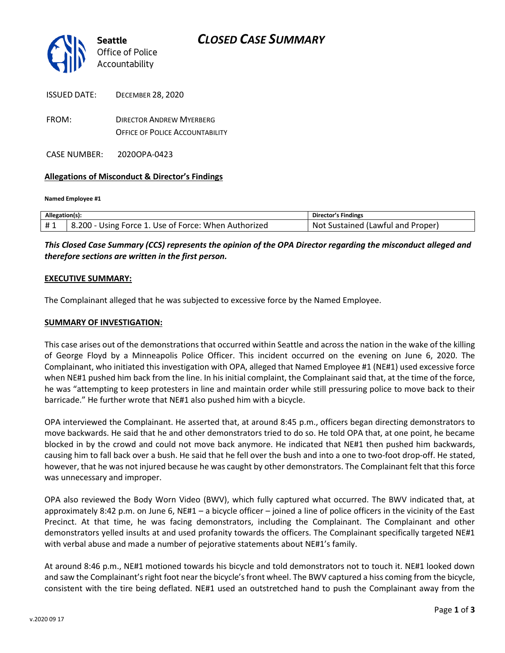

| ISSUE <i>U U</i> ATE. | DECEMBER ZO, ZUZU                      |
|-----------------------|----------------------------------------|
| FROM:                 | <b>DIRECTOR ANDREW MYERBERG</b>        |
|                       | <b>OFFICE OF POLICE ACCOUNTABILITY</b> |

CASE NUMBER: 2020OPA-0423

ISSUED DATE: DECEMBER 28, 2020

#### **Allegations of Misconduct & Director's Findings**

**Named Employee #1**

| Allegation(s): |                                                                   | Director's Findings               |
|----------------|-------------------------------------------------------------------|-----------------------------------|
| #1             | <sup>1</sup> 8.200 - Using Force 1. Use of Force: When Authorized | Not Sustained (Lawful and Proper) |

*This Closed Case Summary (CCS) represents the opinion of the OPA Director regarding the misconduct alleged and therefore sections are written in the first person.* 

#### **EXECUTIVE SUMMARY:**

The Complainant alleged that he was subjected to excessive force by the Named Employee.

#### **SUMMARY OF INVESTIGATION:**

This case arises out of the demonstrations that occurred within Seattle and across the nation in the wake of the killing of George Floyd by a Minneapolis Police Officer. This incident occurred on the evening on June 6, 2020. The Complainant, who initiated this investigation with OPA, alleged that Named Employee #1 (NE#1) used excessive force when NE#1 pushed him back from the line. In his initial complaint, the Complainant said that, at the time of the force, he was "attempting to keep protesters in line and maintain order while still pressuring police to move back to their barricade." He further wrote that NE#1 also pushed him with a bicycle.

OPA interviewed the Complainant. He asserted that, at around 8:45 p.m., officers began directing demonstrators to move backwards. He said that he and other demonstrators tried to do so. He told OPA that, at one point, he became blocked in by the crowd and could not move back anymore. He indicated that NE#1 then pushed him backwards, causing him to fall back over a bush. He said that he fell over the bush and into a one to two-foot drop-off. He stated, however, that he was not injured because he was caught by other demonstrators. The Complainant felt that this force was unnecessary and improper.

OPA also reviewed the Body Worn Video (BWV), which fully captured what occurred. The BWV indicated that, at approximately 8:42 p.m. on June 6, NE#1 – a bicycle officer – joined a line of police officers in the vicinity of the East Precinct. At that time, he was facing demonstrators, including the Complainant. The Complainant and other demonstrators yelled insults at and used profanity towards the officers. The Complainant specifically targeted NE#1 with verbal abuse and made a number of pejorative statements about NE#1's family.

At around 8:46 p.m., NE#1 motioned towards his bicycle and told demonstrators not to touch it. NE#1 looked down and saw the Complainant's right foot near the bicycle's front wheel. The BWV captured a hiss coming from the bicycle, consistent with the tire being deflated. NE#1 used an outstretched hand to push the Complainant away from the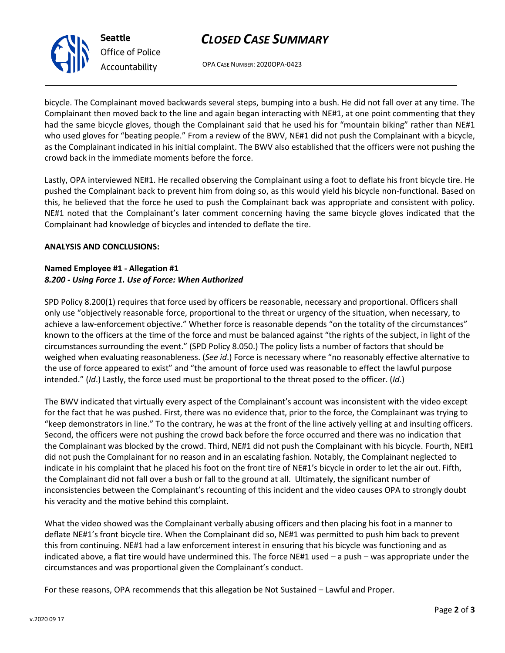# *CLOSED CASE SUMMARY*

OPA CASE NUMBER: 2020OPA-0423

bicycle. The Complainant moved backwards several steps, bumping into a bush. He did not fall over at any time. The Complainant then moved back to the line and again began interacting with NE#1, at one point commenting that they had the same bicycle gloves, though the Complainant said that he used his for "mountain biking" rather than NE#1 who used gloves for "beating people." From a review of the BWV, NE#1 did not push the Complainant with a bicycle, as the Complainant indicated in his initial complaint. The BWV also established that the officers were not pushing the crowd back in the immediate moments before the force.

Lastly, OPA interviewed NE#1. He recalled observing the Complainant using a foot to deflate his front bicycle tire. He pushed the Complainant back to prevent him from doing so, as this would yield his bicycle non-functional. Based on this, he believed that the force he used to push the Complainant back was appropriate and consistent with policy. NE#1 noted that the Complainant's later comment concerning having the same bicycle gloves indicated that the Complainant had knowledge of bicycles and intended to deflate the tire.

## **ANALYSIS AND CONCLUSIONS:**

#### **Named Employee #1 - Allegation #1** *8.200 - Using Force 1. Use of Force: When Authorized*

SPD Policy 8.200(1) requires that force used by officers be reasonable, necessary and proportional. Officers shall only use "objectively reasonable force, proportional to the threat or urgency of the situation, when necessary, to achieve a law-enforcement objective." Whether force is reasonable depends "on the totality of the circumstances" known to the officers at the time of the force and must be balanced against "the rights of the subject, in light of the circumstances surrounding the event." (SPD Policy 8.050.) The policy lists a number of factors that should be weighed when evaluating reasonableness. (*See id*.) Force is necessary where "no reasonably effective alternative to the use of force appeared to exist" and "the amount of force used was reasonable to effect the lawful purpose intended." (*Id*.) Lastly, the force used must be proportional to the threat posed to the officer. (*Id*.)

The BWV indicated that virtually every aspect of the Complainant's account was inconsistent with the video except for the fact that he was pushed. First, there was no evidence that, prior to the force, the Complainant was trying to "keep demonstrators in line." To the contrary, he was at the front of the line actively yelling at and insulting officers. Second, the officers were not pushing the crowd back before the force occurred and there was no indication that the Complainant was blocked by the crowd. Third, NE#1 did not push the Complainant with his bicycle. Fourth, NE#1 did not push the Complainant for no reason and in an escalating fashion. Notably, the Complainant neglected to indicate in his complaint that he placed his foot on the front tire of NE#1's bicycle in order to let the air out. Fifth, the Complainant did not fall over a bush or fall to the ground at all. Ultimately, the significant number of inconsistencies between the Complainant's recounting of this incident and the video causes OPA to strongly doubt his veracity and the motive behind this complaint.

What the video showed was the Complainant verbally abusing officers and then placing his foot in a manner to deflate NE#1's front bicycle tire. When the Complainant did so, NE#1 was permitted to push him back to prevent this from continuing. NE#1 had a law enforcement interest in ensuring that his bicycle was functioning and as indicated above, a flat tire would have undermined this. The force NE#1 used – a push – was appropriate under the circumstances and was proportional given the Complainant's conduct.

For these reasons, OPA recommends that this allegation be Not Sustained – Lawful and Proper.



**Seattle** *Office of Police Accountability*